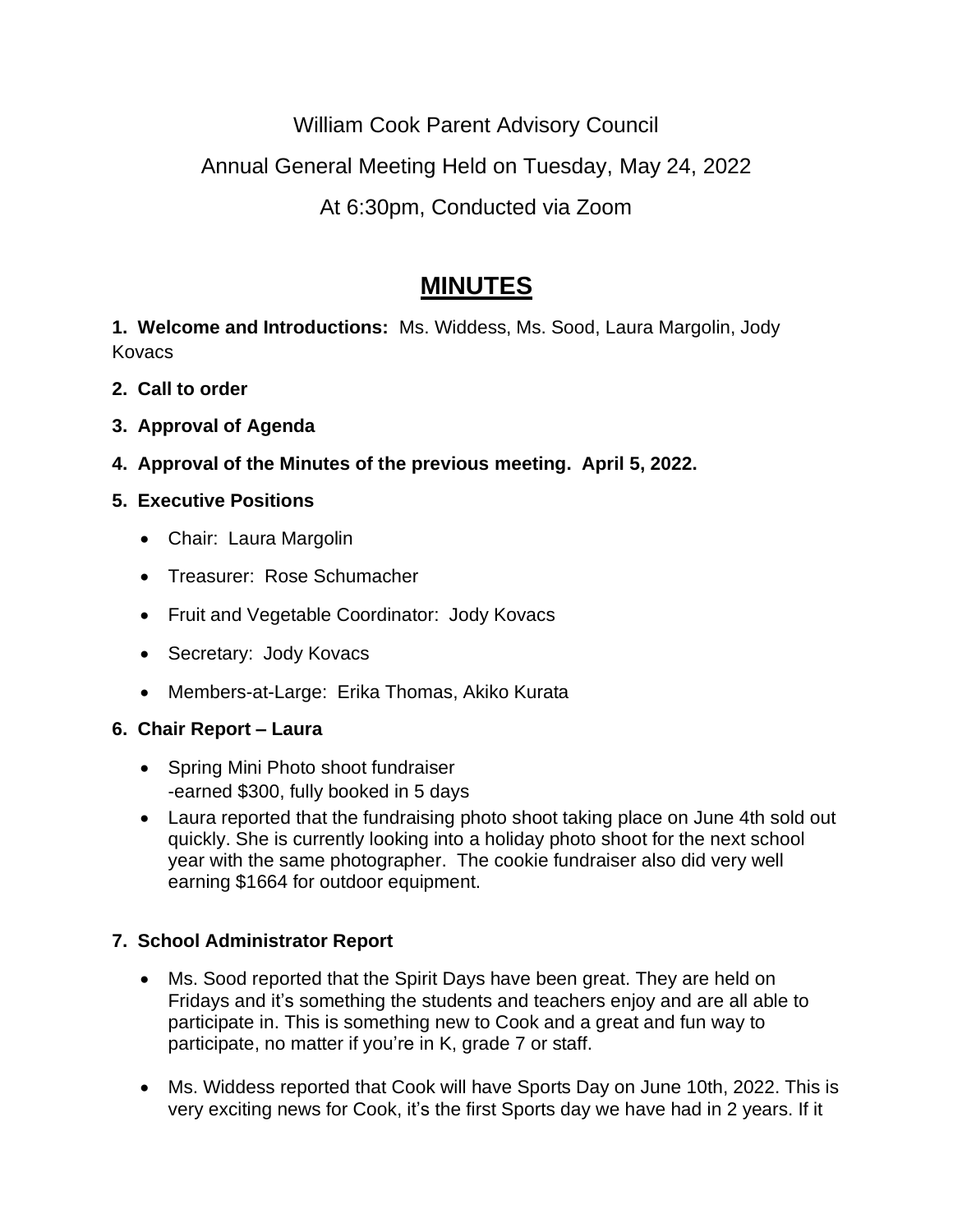William Cook Parent Advisory Council

# Annual General Meeting Held on Tuesday, May 24, 2022

# At 6:30pm, Conducted via Zoom

# **MINUTES**

**1. Welcome and Introductions:** Ms. Widdess, Ms. Sood, Laura Margolin, Jody **Kovacs** 

- **2. Call to order**
- **3. Approval of Agenda**
- **4. Approval of the Minutes of the previous meeting. April 5, 2022.**

## **5. Executive Positions**

- Chair: Laura Margolin
- Treasurer: Rose Schumacher
- Fruit and Vegetable Coordinator: Jody Kovacs
- Secretary: Jody Kovacs
- Members-at-Large: Erika Thomas, Akiko Kurata

### **6. Chair Report – Laura**

- Spring Mini Photo shoot fundraiser -earned \$300, fully booked in 5 days
- Laura reported that the fundraising photo shoot taking place on June 4th sold out quickly. She is currently looking into a holiday photo shoot for the next school year with the same photographer. The cookie fundraiser also did very well earning \$1664 for outdoor equipment.

## **7. School Administrator Report**

- Ms. Sood reported that the Spirit Days have been great. They are held on Fridays and it's something the students and teachers enjoy and are all able to participate in. This is something new to Cook and a great and fun way to participate, no matter if you're in K, grade 7 or staff.
- Ms. Widdess reported that Cook will have Sports Day on June 10th, 2022. This is very exciting news for Cook, it's the first Sports day we have had in 2 years. If it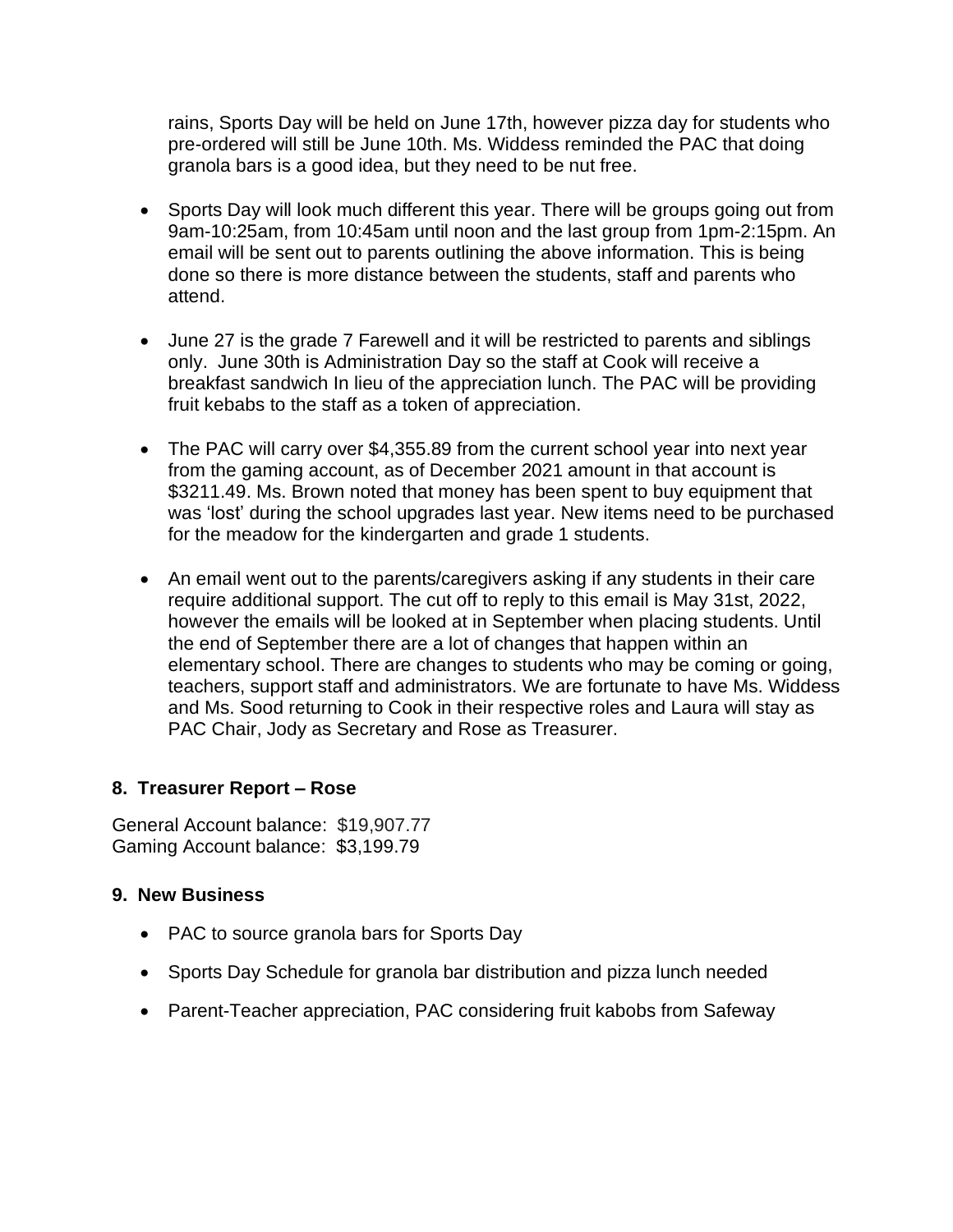rains, Sports Day will be held on June 17th, however pizza day for students who pre-ordered will still be June 10th. Ms. Widdess reminded the PAC that doing granola bars is a good idea, but they need to be nut free.

- Sports Day will look much different this year. There will be groups going out from 9am-10:25am, from 10:45am until noon and the last group from 1pm-2:15pm. An email will be sent out to parents outlining the above information. This is being done so there is more distance between the students, staff and parents who attend.
- June 27 is the grade 7 Farewell and it will be restricted to parents and siblings only. June 30th is Administration Day so the staff at Cook will receive a breakfast sandwich In lieu of the appreciation lunch. The PAC will be providing fruit kebabs to the staff as a token of appreciation.
- The PAC will carry over \$4,355.89 from the current school year into next year from the gaming account, as of December 2021 amount in that account is \$3211.49. Ms. Brown noted that money has been spent to buy equipment that was 'lost' during the school upgrades last year. New items need to be purchased for the meadow for the kindergarten and grade 1 students.
- An email went out to the parents/caregivers asking if any students in their care require additional support. The cut off to reply to this email is May 31st, 2022, however the emails will be looked at in September when placing students. Until the end of September there are a lot of changes that happen within an elementary school. There are changes to students who may be coming or going, teachers, support staff and administrators. We are fortunate to have Ms. Widdess and Ms. Sood returning to Cook in their respective roles and Laura will stay as PAC Chair, Jody as Secretary and Rose as Treasurer.

#### **8. Treasurer Report – Rose**

General Account balance: \$19,907.77 Gaming Account balance: \$3,199.79

#### **9. New Business**

- PAC to source granola bars for Sports Day
- Sports Day Schedule for granola bar distribution and pizza lunch needed
- Parent-Teacher appreciation, PAC considering fruit kabobs from Safeway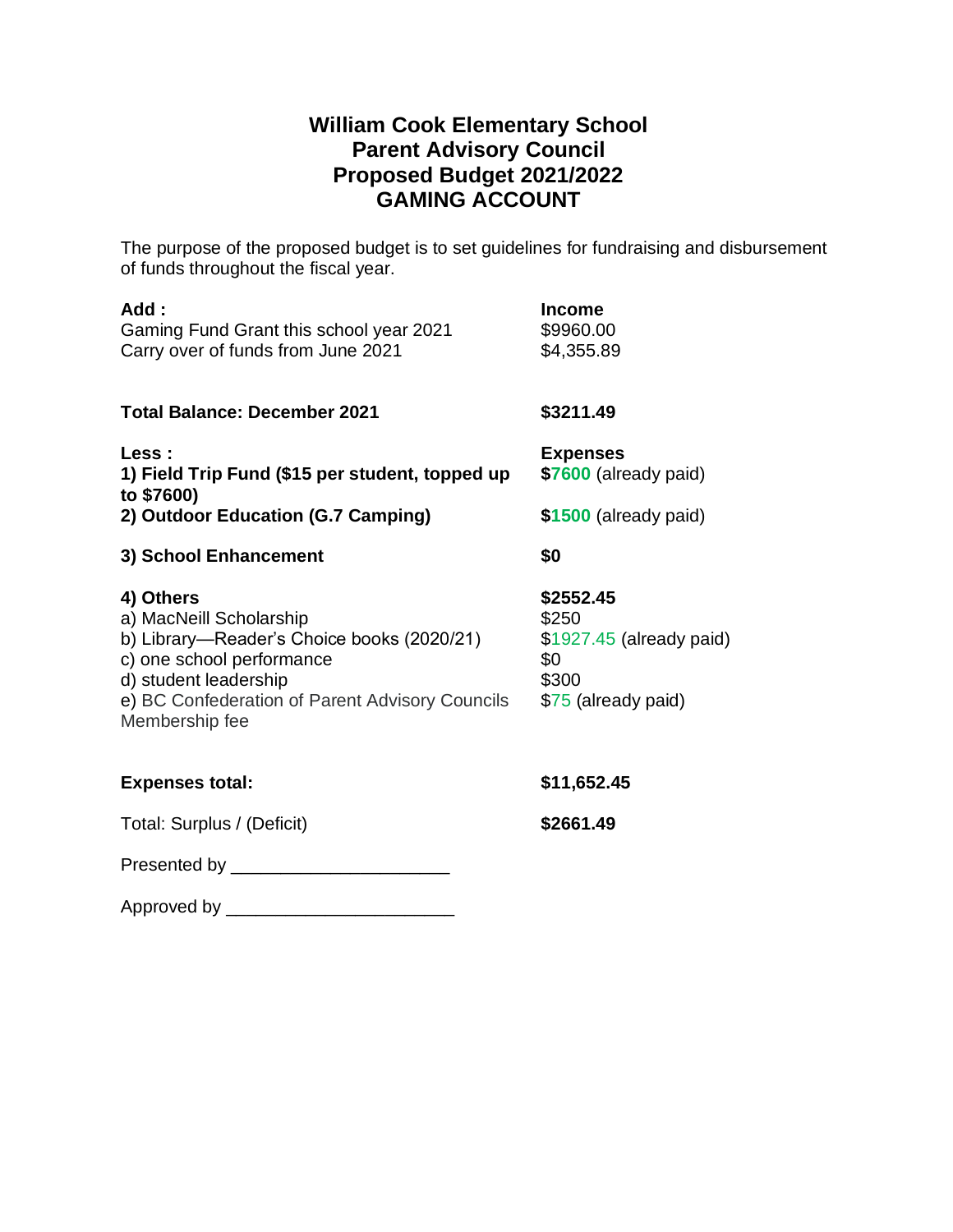# **William Cook Elementary School Parent Advisory Council Proposed Budget 2021/2022 GAMING ACCOUNT**

The purpose of the proposed budget is to set guidelines for fundraising and disbursement of funds throughout the fiscal year.

| Add:<br>Gaming Fund Grant this school year 2021<br>Carry over of funds from June 2021                                                                                                                         | <b>Income</b><br>\$9960.00<br>\$4,355.89                                              |
|---------------------------------------------------------------------------------------------------------------------------------------------------------------------------------------------------------------|---------------------------------------------------------------------------------------|
| <b>Total Balance: December 2021</b>                                                                                                                                                                           | \$3211.49                                                                             |
| Less :<br>1) Field Trip Fund (\$15 per student, topped up<br>to \$7600)                                                                                                                                       | <b>Expenses</b><br>\$7600 (already paid)                                              |
| 2) Outdoor Education (G.7 Camping)                                                                                                                                                                            | \$1500 (already paid)                                                                 |
| 3) School Enhancement                                                                                                                                                                                         | \$0                                                                                   |
| 4) Others<br>a) MacNeill Scholarship<br>b) Library-Reader's Choice books (2020/21)<br>c) one school performance<br>d) student leadership<br>e) BC Confederation of Parent Advisory Councils<br>Membership fee | \$2552.45<br>\$250<br>\$1927.45 (already paid)<br>\$0<br>\$300<br>\$75 (already paid) |
| <b>Expenses total:</b>                                                                                                                                                                                        | \$11,652.45                                                                           |
| Total: Surplus / (Deficit)                                                                                                                                                                                    | \$2661.49                                                                             |
|                                                                                                                                                                                                               |                                                                                       |
| Approved by _____________________________                                                                                                                                                                     |                                                                                       |